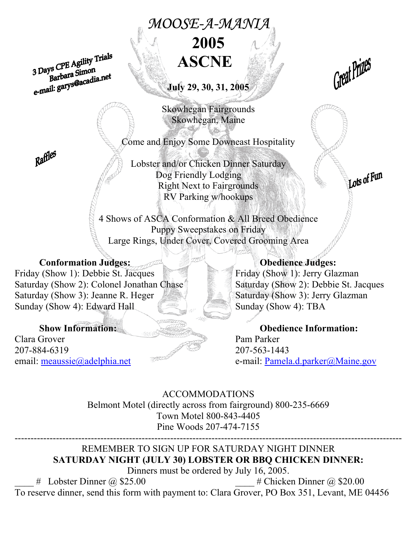# *MOOSE-A-MANIA*  **2005**

3 Days CPE Agility Trials<br>Barbara Simon<br>e-mail: garys@acadia.net

**July 29, 30, 31, 2005** 

Skowhegan Fairgrounds Skowhegan, Maine

Come and Enjoy Some Downeast Hospitality

Lobster and/or Chicken Dinner Saturday Dog Friendly Lodging Right Next to Fairgrounds RV Parking w/hookups

4 Shows of ASCA Conformation & All Breed Obedience Puppy Sweepstakes on Friday Large Rings, Under Cover, Covered Grooming Area

### Conformation Judges: **Obedience Judges:**

Friday (Show 1): Debbie St. Jacques Friday (Show 1): Jerry Glazman Saturday (Show 2): Colonel Jonathan Chase Saturday (Show 2): Debbie St. Jacques Saturday (Show 3): Jeanne R. Heger Saturday (Show 3): Jerry Glazman Sunday (Show 4): Edward Hall Sunday (Show 4): TBA

Clara Grover Pam Parker 207-884-6319 207-563-1443

Great Prizes

Lots of Fun

**Show Information: Obedience Information:**  email: meaussie@adelphia.net e-mail: Pamela.d.parker@Maine.gov

> ACCOMMODATIONS Belmont Motel (directly across from fairground) 800-235-6669 Town Motel 800-843-4405 Pine Woods 207-474-7155

### -------------------------------------------------------------------------------------------------------------------------- REMEMBER TO SIGN UP FOR SATURDAY NIGHT DINNER **SATURDAY NIGHT (JULY 30) LOBSTER OR BBQ CHICKEN DINNER:**

Dinners must be ordered by July 16, 2005.  $\#$  Lobster Dinner @ \$25.00  $\#$  Chicken Dinner @ \$20.00

To reserve dinner, send this form with payment to: Clara Grover, PO Box 351, Levant, ME 04456